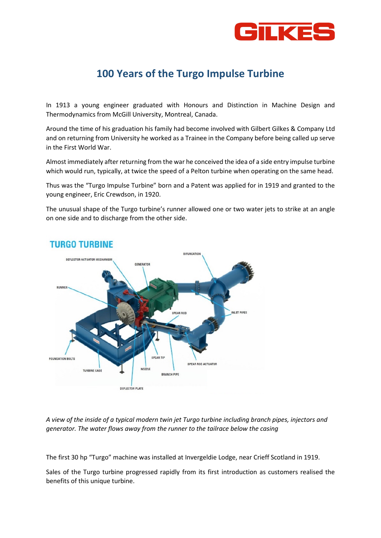

## **100 Years of the Turgo Impulse Turbine**

In 1913 a young engineer graduated with Honours and Distinction in Machine Design and Thermodynamics from McGill University, Montreal, Canada.

Around the time of his graduation his family had become involved with Gilbert Gilkes & Company Ltd and on returning from University he worked as a Trainee in the Company before being called up serve in the First World War.

Almost immediately after returning from the war he conceived the idea of a side entry impulse turbine which would run, typically, at twice the speed of a Pelton turbine when operating on the same head.

Thus was the "Turgo Impulse Turbine" born and a Patent was applied for in 1919 and granted to the young engineer, Eric Crewdson, in 1920.

The unusual shape of the Turgo turbine's runner allowed one or two water jets to strike at an angle on one side and to discharge from the other side.



## **TURGO TURBINE**

*A view of the inside of a typical modern twin jet Turgo turbine including branch pipes, injectors and generator. The water flows away from the runner to the tailrace below the casing*

The first 30 hp "Turgo" machine was installed at Invergeldie Lodge, near Crieff Scotland in 1919.

Sales of the Turgo turbine progressed rapidly from its first introduction as customers realised the benefits of this unique turbine.